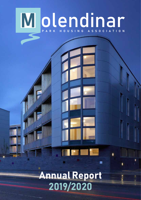## Molendinar

## Annual Report 2019/2020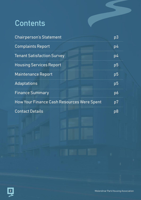### **Contents**

| <b>Chairperson's Statement</b>                    | p3             |
|---------------------------------------------------|----------------|
| <b>Complaints Report</b>                          | $p\llap/4$     |
| <b>Tenant Satisfaction Survey</b>                 | $p\llap/4$     |
| <b>Housing Services Report</b>                    | p <sub>5</sub> |
| <b>Maintenance Report</b>                         | p <sub>5</sub> |
| Adaptations                                       | p <sub>5</sub> |
| <b>Finance Summary</b>                            | p6             |
| <b>How Your Finance Cash Resources Were Spent</b> | p7             |
| <b>Contact Details</b>                            | p8             |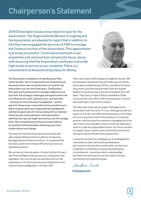### Chairperson's Statement

2019/20 has been a busy and productive year for the Association. The Organisational Review is ongoing and the Association are pleased to report that in addition to this they have engaged the services of FMD to manage the Finance function of the Association. This appointment is proving successful. Continued investment in our properties and communities remains the focus, along with ensuring that the Association continues to provide high levels of service to our residents. There is a commitment to demonstrating Value for Money.



The Association completed a revised Business Plan within the year. This is a substantial and comprehensive document which sets out the direction of travel for the Association over the next three years. The Business Plan sets out the Association's strategic objectives and priorities, the strategic challenges and opportunities that will influence our work, analysis of our core activities - housing services and asset management – and our plans for these areas. It also informs how we will ensure effective governance and organisational management, and deliver good value for money along with our detailed financial plans and projections. And importantly it identifies the risks we might face and how we will manage them. The revised Business Plan accurately reflects the position of the Association following a period of modernisation and change.

This year also saw the Association launching a new web-based software system to deliver its Housing Management and Finance functions. It is believed that this new system will increase efficiencies across our operating systems.

We carried out internal audits in Factoring, Rent Arrears and Financial Reporting to assess our compliance with legislation, our current policies and best practice. We submitted our first Annual Assurance Statement to the Scottish Housing Regulator in October 2019.

There were some staff changes throughout the year. We are pleased to advise that David Crosbie has joined the Association as Maintenance Officer, and Molly Forrester has joined us as Housing Assistant. Both are a great addition to the Association and will strengthen the staff team. Paul Carey, Finance Officer and Natalie O'Raw, Corporate Services Officer left the Association, we wish them both well in their future careers.

The latter part of the year brought challenges to the Association with the Covid-19 crisis. Although too early to report on how this will affect the Association in the longer term we are positive that the Association is in a strong position, and has a positive outlook to managing the crisis with a focus on being able to return to normal operations when it is safe and reasonable to do so. Our focus remains on supporting our tenants and communities and we are moving forward with optimism and positivity.

I would like to thank my colleagues on the Management Committee for their hard work and dedication, particularly in the last few months when we have had to operate in sometimes unusual and challenging circumstances. I would also like to acknowledge and thank the staff team for all their hard work and commitment throughout the year.

Andrew Scott **Chairperson**

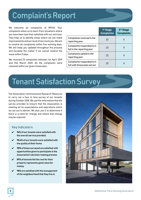#### Complaint's Report

We welcome all complaints at MPHA. Your complaints allow us to learn from situations where you have been less than satisfied with our services. They help us to identify areas where we can make improvements and our level of service to you. We aim to resolve all complaints within five working days. We will keep you updated throughout the process and escalate the matter if we cannot resolve the issue within 5 days.

We received 23 complaints between 1st April 2019 and 31st March 2020. All the complaints were resolved within our given timescales.

|                                                            | 1 <sup>st</sup> Stage<br><b>Complaints</b> | 2 <sup>nd</sup> Stage<br><b>Complaints</b> |
|------------------------------------------------------------|--------------------------------------------|--------------------------------------------|
| <b>Complaints received in the</b><br>reporting year        | 23                                         | 0                                          |
| Complaints responded to in<br>full in the reporting year   | 23                                         | 0                                          |
| Complaints upheld in the<br>reporting year                 | 23                                         | $\mathbf{0}$                               |
| Complaints responded to in<br>full with timescales set out | 23                                         | $\bf{0}$                                   |

#### Tenant Satisfaction Survey

The Association commissioned Research Resource to carry out a face to face survey of our tenants during October 2018. We use the information that the survey provides to ensure that the Association is meeting all its expectations and aspirations which we set out to deliver. We also use it to determine if there is a need for change and where that change may be required.

#### Key Indicators

- $V$  96% of our tenants were satisfied with the overall service provided.
- $\nu$  90.4% of our tenants were satisfied with the quality of their home.
- $V$  98% of those surveyed are satisfied with opportunities given to participate in the Association's decision making process.
- 89% of tenants felt the rent for their property represents good value for money.
- 98% are satisfied with the management of the neighbourhood that they live in.

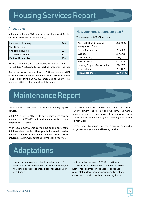#### Housing Services Report

#### Allocations

At the end of March 2020, our managed stock was 832. This can be broken down to the following;

| Mainstream Housing       | 463 |
|--------------------------|-----|
| Warden's Flats           |     |
| <b>Sheltered Housing</b> | -32 |
| <b>Shared Ownership</b>  | 82  |
| Factored Properties      | 254 |

We had 296 waiting list applications on file as at the 31st March 2020. We allocated 54 properties throughout the year.

Rent arrears as at the end of March 2020 represented 4.02% of the Annual Rent Debit of £1,861,818. Rent lost due to houses being empty during 2019/2020 amounted to £11,801. This represents 0.63% of the annual rental income.

## How your rent is spent per year? **Market School Search School School Section**<br>The rent E3.627 per year?<br>Derent E3.627 per year.

| The average rent £3,627 per year. |            |
|-----------------------------------|------------|
| Administration & Housing          | £850,525   |
| Management Costs                  |            |
| $\vert$ Day to Day Repairs        | £336,152   |
| $\vert$ Cyclical                  | £198,775   |
| Major Repairs                     | £39,478    |
| Service Costs                     | £119,647   |
| Housing Property Depreciation     | E442,717   |
| Other activities                  | £28,409    |
| Total Expenditure                 | £2,015,703 |
|                                   |            |
|                                   |            |

### Maintenance Report

The Association continues to provide a same day repairs service.

In 2019/20 a total of 904 day to day repairs were carried out at a cost of £336,152. All repairs were carried out in a timescale of 1.93 days.

An in-house survey was carried out asking all tenants "thinking about the last time you had a repair carried out how satisfied or dissatisfied with the repair service provided". 93.75% were satisfied with the repair service.

The Association recognises the need to protect our investment and to this end we carry out Annual maintenance on all properties which includes gas checks, smoke alarm maintenance, gutter cleaning and cyclical painter-work. tion recognises the need to protect<br>
Internal to this end we carry out Annual<br>
Donall properties which includes gas checks,<br>
maintenance, gutter cleaning and cyclical<br>
Internal the contractor responsible<br>
Ing and central h

James Frew Ltd continues to be the contractor responsible for gas servicing and central heating repairs.

### Adaptations

The Association is committed to meeting tenants' needs and to provide adaptations, where possible, so that tenants are able to enjoy independence, privacy and dignity.

The Association received £39,704 from Glasgow City Council to enable adaptation work to be carried out in tenant's homes. These adaptations ranged from installing level access showers and over bath showers to fitting handrails and widening doors.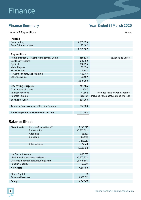### **Finance**

#### Finance Summary Year Ended 31 March 2020

#### Income & Expenditure Notes

| <b>Income</b>                                  |           |                                       |
|------------------------------------------------|-----------|---------------------------------------|
| <b>From Lettings</b>                           | 2,339,325 |                                       |
| <b>From Other Activities</b>                   | 27,682    |                                       |
|                                                | 2,367,007 |                                       |
| <b>Expenditure</b>                             |           |                                       |
| Administration & Housing Management Costs      | 850,525   | <b>Includes Bad Debts</b>             |
| Day to Day Repairs                             | 336,152   |                                       |
| Cyclical                                       | 198,775   |                                       |
| <b>Major Repairs</b>                           | 39,478    |                                       |
| Service Costs                                  | 119,647   |                                       |
| <b>Housing Property Depreciation</b>           | 442,717   |                                       |
| Other activities                               | 28,409    |                                       |
|                                                | 2,015,703 |                                       |
|                                                |           |                                       |
| <b>Operating Surplus</b>                       | 351,304   |                                       |
| Gain on sale of assets                         | 15,767    |                                       |
| Interest Received                              | 51,852    | Includes Pension Asset Income         |
| Interest Payable                               | (81,670)  | Includes Pension Obligations interest |
| <b>Surplus for year</b>                        | 337,253   |                                       |
|                                                |           |                                       |
| Actuarial Gain in respect of Pension Scheme    | 376,000   |                                       |
|                                                |           |                                       |
| <b>Total Comprehensive Income For The Year</b> | 713,253   |                                       |
|                                                |           |                                       |

#### Balance Sheet

| <b>Fixed Assets:</b>                  | <b>Housing Properties b/f</b> | 18,948,527  |  |
|---------------------------------------|-------------------------------|-------------|--|
|                                       | Depreciation                  | (5,827,799) |  |
|                                       | Additions                     | 146,833     |  |
|                                       | <b>Disposals</b>              | (88, 498)   |  |
|                                       |                               | 13,179,063  |  |
|                                       | Other Assets                  | 74,455      |  |
|                                       |                               | 13,253,518  |  |
|                                       |                               |             |  |
| <b>Net Current Assets</b>             |                               | 849.897     |  |
| Liabilities due in more than 1 year   |                               | (2,677,233) |  |
| Deferred Income: Social Housing Grant |                               | (6,548,567) |  |
| <b>Pension Liability</b>              |                               | (10,000)    |  |
| <b>Net Assets</b>                     |                               | 4,867,615   |  |
|                                       |                               |             |  |
| <b>Share Capital</b>                  |                               | 53          |  |
| <b>Revenue Reserves</b>               |                               | 4,867,562   |  |
| <b>Equity</b>                         |                               | 4,867,615   |  |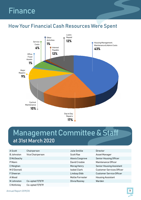#### Finance

# How Your Financial Cash Resources Were Spent **M** olendinar



#### Management Committee & Staff at 31st March 2020

| A Scott           | Chairperson      | Julie Smillie       | Director                         |
|-------------------|------------------|---------------------|----------------------------------|
| <b>B</b> Johnston | Vice Chairperson | Scott Rae           | Asset Manager                    |
| D McGeachy        |                  | Alexis Cosgrove     | <b>Senior Housing Officer</b>    |
| P Mann            |                  | David Crosbie       | Maintenance Officer              |
| C Meighan         |                  | Morag Henry         | <b>Senior Housing Assistant</b>  |
| M O'Donnell       |                  | <b>Isobel Clark</b> | <b>Customer Services Officer</b> |
| F Sheeran         |                  | Lindsay Gibb        | <b>Customer Service Officer</b>  |
| A Wood            |                  | Mollie Forrester    | <b>Housing Assistant</b>         |
| M Johnston        | Co-opted 17/9/19 | Olivia Rooney       | Warden                           |
| C McKinley        | Co-opted 17/9/19 |                     |                                  |